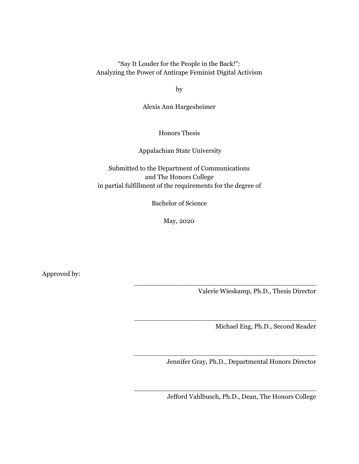"Say It Louder for the People in the Back!": Analyzing the Power of Antirape Feminist Digital Activism

by

Alexis Ann Hargesheimer

Honors Thesis

Appalachian State University

Submitted to the Department of Communications and The Honors College in partial fulfillment of the requirements for the degree of

Bachelor of Science

May, 2020

Approved by:

Valerie Wieskamp, Ph.D., Thesis Director

Michael Eng, Ph.D., Second Reader

Jennifer Gray, Ph.D., Departmental Honors Director

\_\_\_\_\_\_\_\_\_\_\_\_\_\_\_\_\_\_\_\_\_\_\_\_\_\_\_\_\_\_\_\_\_\_\_\_\_\_\_\_\_\_\_\_

\_\_\_\_\_\_\_\_\_\_\_\_\_\_\_\_\_\_\_\_\_\_\_\_\_\_\_\_\_\_\_\_\_\_\_\_\_\_\_\_\_\_\_\_

\_\_\_\_\_\_\_\_\_\_\_\_\_\_\_\_\_\_\_\_\_\_\_\_\_\_\_\_\_\_\_\_\_\_\_\_\_\_\_\_\_\_\_\_

\_\_\_\_\_\_\_\_\_\_\_\_\_\_\_\_\_\_\_\_\_\_\_\_\_\_\_\_\_\_\_\_\_\_\_\_\_\_\_\_\_\_\_\_

Jefford Vahlbusch, Ph.D., Dean, The Honors College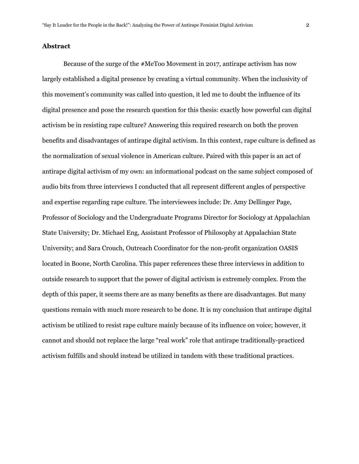### **Abstract**

Because of the surge of the #MeToo Movement in 2017, antirape activism has now largely established a digital presence by creating a virtual community. When the inclusivity of this movement's community was called into question, it led me to doubt the influence of its digital presence and pose the research question for this thesis: exactly how powerful can digital activism be in resisting rape culture? Answering this required research on both the proven benefits and disadvantages of antirape digital activism. In this context, rape culture is defined as the normalization of sexual violence in American culture. Paired with this paper is an act of antirape digital activism of my own: an informational podcast on the same subject composed of audio bits from three interviews I conducted that all represent different angles of perspective and expertise regarding rape culture. The interviewees include: Dr. Amy Dellinger Page, Professor of Sociology and the Undergraduate Programs Director for Sociology at Appalachian State University; Dr. Michael Eng, Assistant Professor of Philosophy at Appalachian State University; and Sara Crouch, Outreach Coordinator for the non-profit organization OASIS located in Boone, North Carolina. This paper references these three interviews in addition to outside research to support that the power of digital activism is extremely complex. From the depth of this paper, it seems there are as many benefits as there are disadvantages. But many questions remain with much more research to be done. It is my conclusion that antirape digital activism be utilized to resist rape culture mainly because of its influence on voice; however, it cannot and should not replace the large "real work" role that antirape traditionally-practiced activism fulfills and should instead be utilized in tandem with these traditional practices.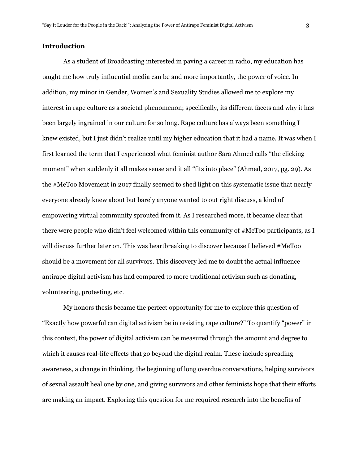# **Introduction**

As a student of Broadcasting interested in paving a career in radio, my education has taught me how truly influential media can be and more importantly, the power of voice. In addition, my minor in Gender, Women's and Sexuality Studies allowed me to explore my interest in rape culture as a societal phenomenon; specifically, its different facets and why it has been largely ingrained in our culture for so long. Rape culture has always been something I knew existed, but I just didn't realize until my higher education that it had a name. It was when I first learned the term that I experienced what feminist author Sara Ahmed calls "the clicking moment" when suddenly it all makes sense and it all "fits into place" (Ahmed, 2017, pg. 29). As the #MeToo Movement in 2017 finally seemed to shed light on this systematic issue that nearly everyone already knew about but barely anyone wanted to out right discuss, a kind of empowering virtual community sprouted from it. As I researched more, it became clear that there were people who didn't feel welcomed within this community of #MeToo participants, as I will discuss further later on. This was heartbreaking to discover because I believed #MeToo should be a movement for all survivors. This discovery led me to doubt the actual influence antirape digital activism has had compared to more traditional activism such as donating, volunteering, protesting, etc.

My honors thesis became the perfect opportunity for me to explore this question of "Exactly how powerful can digital activism be in resisting rape culture?" To quantify "power" in this context, the power of digital activism can be measured through the amount and degree to which it causes real-life effects that go beyond the digital realm. These include spreading awareness, a change in thinking, the beginning of long overdue conversations, helping survivors of sexual assault heal one by one, and giving survivors and other feminists hope that their efforts are making an impact. Exploring this question for me required research into the benefits of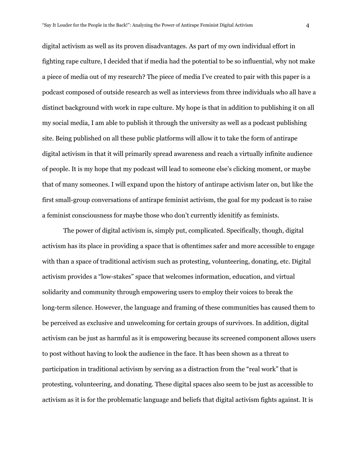digital activism as well as its proven disadvantages. As part of my own individual effort in fighting rape culture, I decided that if media had the potential to be so influential, why not make a piece of media out of my research? The piece of media I've created to pair with this paper is a podcast composed of outside research as well as interviews from three individuals who all have a distinct background with work in rape culture. My hope is that in addition to publishing it on all my social media, I am able to publish it through the university as well as a podcast publishing site. Being published on all these public platforms will allow it to take the form of antirape digital activism in that it will primarily spread awareness and reach a virtually infinite audience of people. It is my hope that my podcast will lead to someone else's clicking moment, or maybe that of many someones. I will expand upon the history of antirape activism later on, but like the first small-group conversations of antirape feminist activism, the goal for my podcast is to raise a feminist consciousness for maybe those who don't currently idenitify as feminists.

The power of digital activism is, simply put, complicated. Specifically, though, digital activism has its place in providing a space that is oftentimes safer and more accessible to engage with than a space of traditional activism such as protesting, volunteering, donating, etc. Digital activism provides a "low-stakes" space that welcomes information, education, and virtual solidarity and community through empowering users to employ their voices to break the long-term silence. However, the language and framing of these communities has caused them to be perceived as exclusive and unwelcoming for certain groups of survivors. In addition, digital activism can be just as harmful as it is empowering because its screened component allows users to post without having to look the audience in the face. It has been shown as a threat to participation in traditional activism by serving as a distraction from the "real work" that is protesting, volunteering, and donating. These digital spaces also seem to be just as accessible to activism as it is for the problematic language and beliefs that digital activism fights against. It is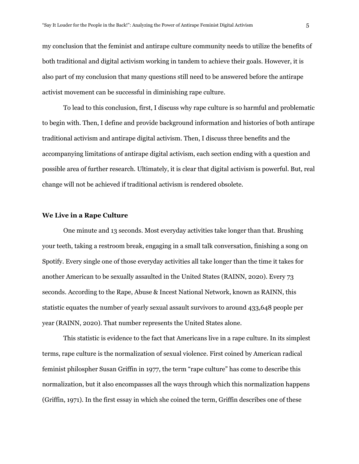my conclusion that the feminist and antirape culture community needs to utilize the benefits of both traditional and digital activism working in tandem to achieve their goals. However, it is also part of my conclusion that many questions still need to be answered before the antirape activist movement can be successful in diminishing rape culture.

To lead to this conclusion, first, I discuss why rape culture is so harmful and problematic to begin with. Then, I define and provide background information and histories of both antirape traditional activism and antirape digital activism. Then, I discuss three benefits and the accompanying limitations of antirape digital activism, each section ending with a question and possible area of further research. Ultimately, it is clear that digital activism is powerful. But, real change will not be achieved if traditional activism is rendered obsolete.

### **We Live in a Rape Culture**

One minute and 13 seconds. Most everyday activities take longer than that. Brushing your teeth, taking a restroom break, engaging in a small talk conversation, finishing a song on Spotify. Every single one of those everyday activities all take longer than the time it takes for another American to be sexually assaulted in the United States (RAINN, 2020). Every 73 seconds. According to the Rape, Abuse & Incest National Network, known as RAINN, this statistic equates the number of yearly sexual assault survivors to around 433,648 people per year (RAINN, 2020). That number represents the United States alone.

This statistic is evidence to the fact that Americans live in a rape culture. In its simplest terms, rape culture is the normalization of sexual violence. First coined by American radical feminist philospher Susan Griffin in 1977, the term "rape culture" has come to describe this normalization, but it also encompasses all the ways through which this normalization happens (Griffin, 1971). In the first essay in which she coined the term, Griffin describes one of these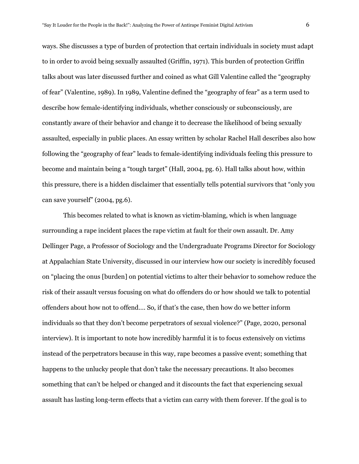ways. She discusses a type of burden of protection that certain individuals in society must adapt to in order to avoid being sexually assaulted (Griffin, 1971). This burden of protection Griffin talks about was later discussed further and coined as what Gill Valentine called the "geography of fear" (Valentine, 1989). In 1989, Valentine defined the "geography of fear" as a term used to describe how female-identifying individuals, whether consciously or subconsciously, are constantly aware of their behavior and change it to decrease the likelihood of being sexually assaulted, especially in public places. An essay written by scholar Rachel Hall describes also how following the "geography of fear" leads to female-identifying individuals feeling this pressure to become and maintain being a "tough target" (Hall, 2004, pg. 6). Hall talks about how, within this pressure, there is a hidden disclaimer that essentially tells potential survivors that "only you can save yourself" (2004, pg.6).

This becomes related to what is known as victim-blaming, which is when language surrounding a rape incident places the rape victim at fault for their own assault. Dr. Amy Dellinger Page, a Professor of Sociology and the Undergraduate Programs Director for Sociology at Appalachian State University, discussed in our interview how our society is incredibly focused on "placing the onus [burden] on potential victims to alter their behavior to somehow reduce the risk of their assault versus focusing on what do offenders do or how should we talk to potential offenders about how not to offend…. So, if that's the case, then how do we better inform individuals so that they don't become perpetrators of sexual violence?" (Page, 2020, personal interview). It is important to note how incredibly harmful it is to focus extensively on victims instead of the perpetrators because in this way, rape becomes a passive event; something that happens to the unlucky people that don't take the necessary precautions. It also becomes something that can't be helped or changed and it discounts the fact that experiencing sexual assault has lasting long-term effects that a victim can carry with them forever. If the goal is to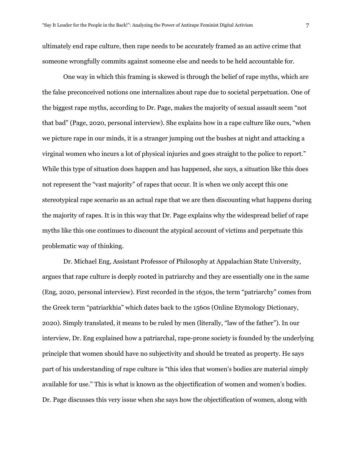ultimately end rape culture, then rape needs to be accurately framed as an active crime that someone wrongfully commits against someone else and needs to be held accountable for.

One way in which this framing is skewed is through the belief of rape myths, which are the false preconceived notions one internalizes about rape due to societal perpetuation. One of the biggest rape myths, according to Dr. Page, makes the majority of sexual assault seem "not that bad" (Page, 2020, personal interview). She explains how in a rape culture like ours, "when we picture rape in our minds, it is a stranger jumping out the bushes at night and attacking a virginal women who incurs a lot of physical injuries and goes straight to the police to report." While this type of situation does happen and has happened, she says, a situation like this does not represent the "vast majority" of rapes that occur. It is when we only accept this one stereotypical rape scenario as an actual rape that we are then discounting what happens during the majority of rapes. It is in this way that Dr. Page explains why the widespread belief of rape myths like this one continues to discount the atypical account of victims and perpetuate this problematic way of thinking.

Dr. Michael Eng, Assistant Professor of Philosophy at Appalachian State University, argues that rape culture is deeply rooted in patriarchy and they are essentially one in the same (Eng, 2020, personal interview). First recorded in the 1630s, the term "patriarchy" comes from the Greek term "patriarkhia" which dates back to the 1560s (Online Etymology Dictionary, 2020). Simply translated, it means to be ruled by men (literally, "law of the father"). In our interview, Dr. Eng explained how a patriarchal, rape-prone society is founded by the underlying principle that women should have no subjectivity and should be treated as property. He says part of his understanding of rape culture is "this idea that women's bodies are material simply available for use." This is what is known as the objectification of women and women's bodies. Dr. Page discusses this very issue when she says how the objectification of women, along with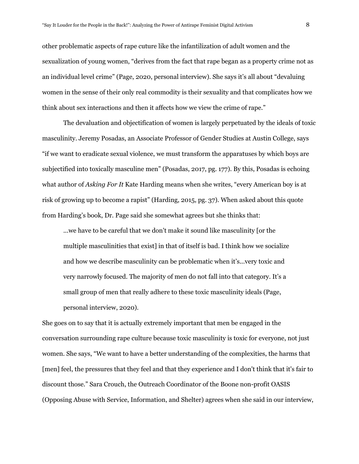other problematic aspects of rape cuture like the infantilization of adult women and the sexualization of young women, "derives from the fact that rape began as a property crime not as an individual level crime" (Page, 2020, personal interview). She says it's all about "devaluing women in the sense of their only real commodity is their sexuality and that complicates how we think about sex interactions and then it affects how we view the crime of rape."

The devaluation and objectification of women is largely perpetuated by the ideals of toxic masculinity. Jeremy Posadas, an Associate Professor of Gender Studies at Austin College, says "if we want to eradicate sexual violence, we must transform the apparatuses by which boys are subjectified into toxically masculine men" (Posadas, 2017, pg. 177). By this, Posadas is echoing what author of *Asking For It* Kate Harding means when she writes, "every American boy is at risk of growing up to become a rapist" (Harding, 2015, pg. 37). When asked about this quote from Harding's book, Dr. Page said she somewhat agrees but she thinks that:

...we have to be careful that we don't make it sound like masculinity [or the multiple masculinities that exist] in that of itself is bad. I think how we socialize and how we describe masculinity can be problematic when it's...very toxic and very narrowly focused. The majority of men do not fall into that category. It's a small group of men that really adhere to these toxic masculinity ideals (Page, personal interview, 2020).

She goes on to say that it is actually extremely important that men be engaged in the conversation surrounding rape culture because toxic masculinity is toxic for everyone, not just women. She says, "We want to have a better understanding of the complexities, the harms that [men] feel, the pressures that they feel and that they experience and I don't think that it's fair to discount those." Sara Crouch, the Outreach Coordinator of the Boone non-profit OASIS (Opposing Abuse with Service, Information, and Shelter) agrees when she said in our interview,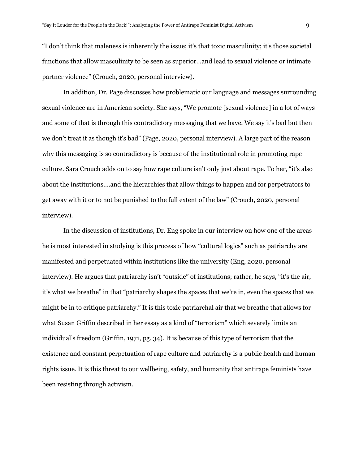"I don't think that maleness is inherently the issue; it's that toxic masculinity; it's those societal functions that allow masculinity to be seen as superior...and lead to sexual violence or intimate partner violence" (Crouch, 2020, personal interview).

In addition, Dr. Page discusses how problematic our language and messages surrounding sexual violence are in American society. She says, "We promote [sexual violence] in a lot of ways and some of that is through this contradictory messaging that we have. We say it's bad but then we don't treat it as though it's bad" (Page, 2020, personal interview). A large part of the reason why this messaging is so contradictory is because of the institutional role in promoting rape culture. Sara Crouch adds on to say how rape culture isn't only just about rape. To her, "it's also about the institutions….and the hierarchies that allow things to happen and for perpetrators to get away with it or to not be punished to the full extent of the law" (Crouch, 2020, personal interview).

In the discussion of institutions, Dr. Eng spoke in our interview on how one of the areas he is most interested in studying is this process of how "cultural logics" such as patriarchy are manifested and perpetuated within institutions like the university (Eng, 2020, personal interview). He argues that patriarchy isn't "outside" of institutions; rather, he says, "it's the air, it's what we breathe" in that "patriarchy shapes the spaces that we're in, even the spaces that we might be in to critique patriarchy." It is this toxic patriarchal air that we breathe that allows for what Susan Griffin described in her essay as a kind of "terrorism" which severely limits an individual's freedom (Griffin, 1971, pg. 34). It is because of this type of terrorism that the existence and constant perpetuation of rape culture and patriarchy is a public health and human rights issue. It is this threat to our wellbeing, safety, and humanity that antirape feminists have been resisting through activism.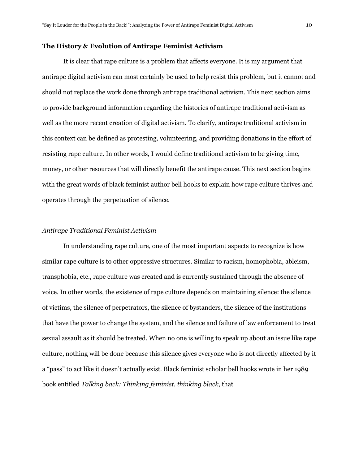#### **The History & Evolution of Antirape Feminist Activism**

It is clear that rape culture is a problem that affects everyone. It is my argument that antirape digital activism can most certainly be used to help resist this problem, but it cannot and should not replace the work done through antirape traditional activism. This next section aims to provide background information regarding the histories of antirape traditional activism as well as the more recent creation of digital activism. To clarify, antirape traditional activism in this context can be defined as protesting, volunteering, and providing donations in the effort of resisting rape culture. In other words, I would define traditional activism to be giving time, money, or other resources that will directly benefit the antirape cause. This next section begins with the great words of black feminist author bell hooks to explain how rape culture thrives and operates through the perpetuation of silence.

#### *Antirape Traditional Feminist Activism*

In understanding rape culture, one of the most important aspects to recognize is how similar rape culture is to other oppressive structures. Similar to racism, homophobia, ableism, transphobia, etc., rape culture was created and is currently sustained through the absence of voice. In other words, the existence of rape culture depends on maintaining silence: the silence of victims, the silence of perpetrators, the silence of bystanders, the silence of the institutions that have the power to change the system, and the silence and failure of law enforcement to treat sexual assault as it should be treated. When no one is willing to speak up about an issue like rape culture, nothing will be done because this silence gives everyone who is not directly affected by it a "pass" to act like it doesn't actually exist. Black feminist scholar bell hooks wrote in her 1989 book entitled *Talking back: Thinking feminist, thinking black*, that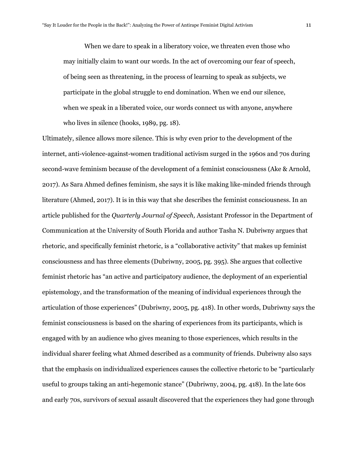When we dare to speak in a liberatory voice, we threaten even those who may initially claim to want our words. In the act of overcoming our fear of speech, of being seen as threatening, in the process of learning to speak as subjects, we participate in the global struggle to end domination. When we end our silence, when we speak in a liberated voice, our words connect us with anyone, anywhere who lives in silence (hooks, 1989, pg. 18).

Ultimately, silence allows more silence. This is why even prior to the development of the internet, anti-violence-against-women traditional activism surged in the 1960s and 70s during second-wave feminism because of the development of a feminist consciousness (Ake & Arnold, 2017). As Sara Ahmed defines feminism, she says it is like making like-minded friends through literature (Ahmed, 2017). It is in this way that she describes the feminist consciousness. In an article published for the *Quarterly Journal of Speech,* Assistant Professor in the Department of Communication at the University of South Florida and author Tasha N. Dubriwny argues that rhetoric, and specifically feminist rhetoric, is a "collaborative activity" that makes up feminist consciousness and has three elements (Dubriwny, 2005, pg. 395). She argues that collective feminist rhetoric has "an active and participatory audience, the deployment of an experiential epistemology, and the transformation of the meaning of individual experiences through the articulation of those experiences" (Dubriwny, 2005, pg. 418). In other words, Dubriwny says the feminist consciousness is based on the sharing of experiences from its participants, which is engaged with by an audience who gives meaning to those experiences, which results in the individual sharer feeling what Ahmed described as a community of friends. Dubriwny also says that the emphasis on individualized experiences causes the collective rhetoric to be "particularly useful to groups taking an anti-hegemonic stance" (Dubriwny, 2004, pg. 418). In the late 60s and early 70s, survivors of sexual assault discovered that the experiences they had gone through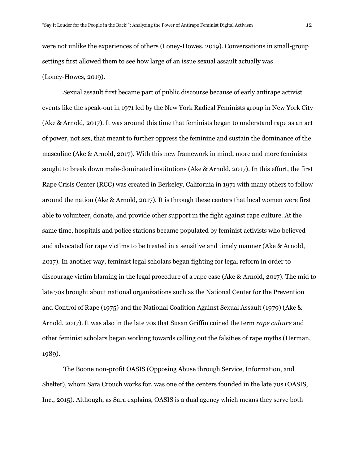were not unlike the experiences of others (Loney-Howes, 2019). Conversations in small-group settings first allowed them to see how large of an issue sexual assault actually was (Loney-Howes, 2019).

Sexual assault first became part of public discourse because of early antirape activist events like the speak-out in 1971 led by the New York Radical Feminists group in New York City (Ake & Arnold, 2017). It was around this time that feminists began to understand rape as an act of power, not sex, that meant to further oppress the feminine and sustain the dominance of the masculine (Ake & Arnold, 2017). With this new framework in mind, more and more feminists sought to break down male-dominated institutions (Ake & Arnold, 2017). In this effort, the first Rape Crisis Center (RCC) was created in Berkeley, California in 1971 with many others to follow around the nation (Ake & Arnold, 2017). It is through these centers that local women were first able to volunteer, donate, and provide other support in the fight against rape culture. At the same time, hospitals and police stations became populated by feminist activists who believed and advocated for rape victims to be treated in a sensitive and timely manner (Ake & Arnold, 2017). In another way, feminist legal scholars began fighting for legal reform in order to discourage victim blaming in the legal procedure of a rape case (Ake & Arnold, 2017). The mid to late 70s brought about national organizations such as the National Center for the Prevention and Control of Rape (1975) and the National Coalition Against Sexual Assault (1979) (Ake & Arnold, 2017). It was also in the late 70s that Susan Griffin coined the term *rape culture* and other feminist scholars began working towards calling out the falsities of rape myths (Herman, 1989).

The Boone non-profit OASIS (Opposing Abuse through Service, Information, and Shelter), whom Sara Crouch works for, was one of the centers founded in the late 70s (OASIS, Inc., 2015). Although, as Sara explains, OASIS is a dual agency which means they serve both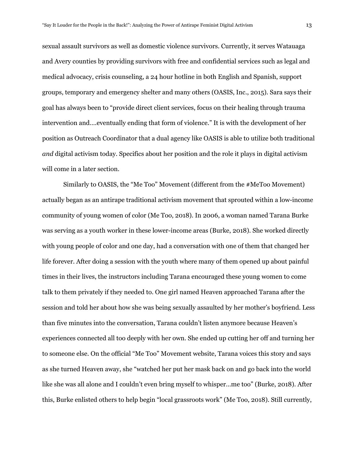sexual assault survivors as well as domestic violence survivors. Currently, it serves Watauaga and Avery counties by providing survivors with free and confidential services such as legal and medical advocacy, crisis counseling, a 24 hour hotline in both English and Spanish, support groups, temporary and emergency shelter and many others (OASIS, Inc., 2015). Sara says their goal has always been to "provide direct client services, focus on their healing through trauma intervention and….eventually ending that form of violence." It is with the development of her position as Outreach Coordinator that a dual agency like OASIS is able to utilize both traditional *and* digital activism today. Specifics about her position and the role it plays in digital activism will come in a later section.

Similarly to OASIS, the "Me Too" Movement (different from the #MeToo Movement) actually began as an antirape traditional activism movement that sprouted within a low-income community of young women of color (Me Too, 2018). In 2006, a woman named Tarana Burke was serving as a youth worker in these lower-income areas (Burke, 2018). She worked directly with young people of color and one day, had a conversation with one of them that changed her life forever. After doing a session with the youth where many of them opened up about painful times in their lives, the instructors including Tarana encouraged these young women to come talk to them privately if they needed to. One girl named Heaven approached Tarana after the session and told her about how she was being sexually assaulted by her mother's boyfriend. Less than five minutes into the conversation, Tarana couldn't listen anymore because Heaven's experiences connected all too deeply with her own. She ended up cutting her off and turning her to someone else. On the official "Me Too" Movement website, Tarana voices this story and says as she turned Heaven away, she "watched her put her mask back on and go back into the world like she was all alone and I couldn't even bring myself to whisper…me too" (Burke, 2018). After this, Burke enlisted others to help begin "local grassroots work" (Me Too, 2018). Still currently,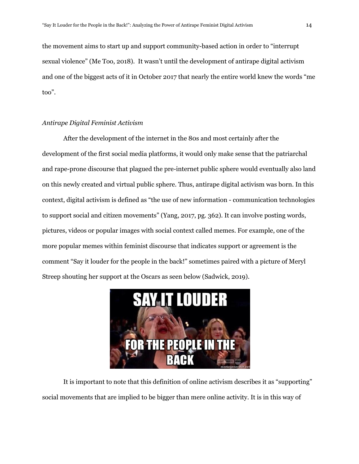the movement aims to start up and support community-based action in order to "interrupt sexual violence" (Me Too, 2018). It wasn't until the development of antirape digital activism and one of the biggest acts of it in October 2017 that nearly the entire world knew the words "me too".

# *Antirape Digital Feminist Activism*

After the development of the internet in the 80s and most certainly after the development of the first social media platforms, it would only make sense that the patriarchal and rape-prone discourse that plagued the pre-internet public sphere would eventually also land on this newly created and virtual public sphere. Thus, antirape digital activism was born. In this context, digital activism is defined as "the use of new information - communication technologies to support social and citizen movements" (Yang, 2017, pg. 362). It can involve posting words, pictures, videos or popular images with social context called memes. For example, one of the more popular memes within feminist discourse that indicates support or agreement is the comment "Say it louder for the people in the back!" sometimes paired with a picture of Meryl Streep shouting her support at the Oscars as seen below (Sadwick, 2019).



It is important to note that this definition of online activism describes it as "supporting" social movements that are implied to be bigger than mere online activity. It is in this way of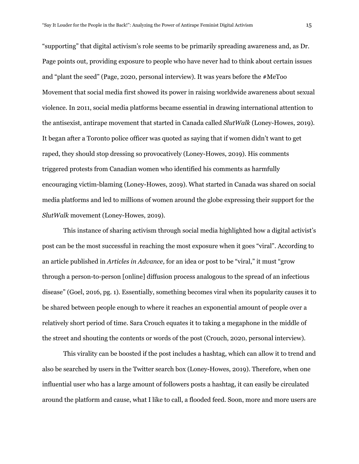"supporting" that digital activism's role seems to be primarily spreading awareness and, as Dr. Page points out, providing exposure to people who have never had to think about certain issues and "plant the seed" (Page, 2020, personal interview). It was years before the #MeToo Movement that social media first showed its power in raising worldwide awareness about sexual violence. In 2011, social media platforms became essential in drawing international attention to the antisexist, antirape movement that started in Canada called *SlutWalk* (Loney-Howes, 2019)*.* It began after a Toronto police officer was quoted as saying that if women didn't want to get raped, they should stop dressing so provocatively (Loney-Howes, 2019). His comments triggered protests from Canadian women who identified his comments as harmfully encouraging victim-blaming (Loney-Howes, 2019). What started in Canada was shared on social media platforms and led to millions of women around the globe expressing their support for the *SlutWalk* movement (Loney-Howes, 2019).

This instance of sharing activism through social media highlighted how a digital activist's post can be the most successful in reaching the most exposure when it goes "viral". According to an article published in *Articles in Advance,* for an idea or post to be "viral," it must "grow through a person-to-person [online] diffusion process analogous to the spread of an infectious disease" (Goel, 2016, pg. 1). Essentially, something becomes viral when its popularity causes it to be shared between people enough to where it reaches an exponential amount of people over a relatively short period of time. Sara Crouch equates it to taking a megaphone in the middle of the street and shouting the contents or words of the post (Crouch, 2020, personal interview).

This virality can be boosted if the post includes a hashtag, which can allow it to trend and also be searched by users in the Twitter search box (Loney-Howes, 2019). Therefore, when one influential user who has a large amount of followers posts a hashtag, it can easily be circulated around the platform and cause, what I like to call, a flooded feed. Soon, more and more users are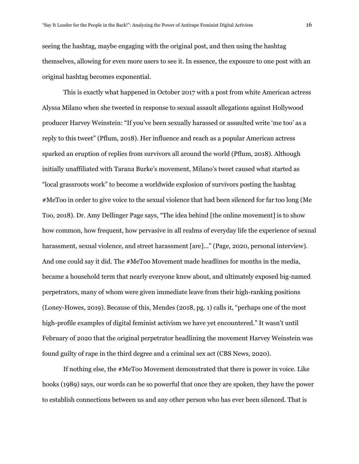seeing the hashtag, maybe engaging with the original post, and then using the hashtag themselves, allowing for even more users to see it. In essence, the exposure to one post with an original hashtag becomes exponential.

This is exactly what happened in October 2017 with a post from white American actress Alyssa Milano when she tweeted in response to sexual assault allegations against Hollywood producer Harvey Weinstein: "If you've been sexually harassed or assaulted write 'me too' as a reply to this tweet" (Pflum, 2018). Her influence and reach as a popular American actress sparked an eruption of replies from survivors all around the world (Pflum, 2018). Although initially unaffiliated with Tarana Burke's movement, Milano's tweet caused what started as "local grassroots work" to become a worldwide explosion of survivors posting the hashtag #MeToo in order to give voice to the sexual violence that had been silenced for far too long (Me Too, 2018). Dr. Amy Dellinger Page says, "The idea behind [the online movement] is to show how common, how frequent, how pervasive in all realms of everyday life the experience of sexual harassment, sexual violence, and street harassment [are]..." (Page, 2020, personal interview). And one could say it did. The #MeToo Movement made headlines for months in the media, became a household term that nearly everyone knew about, and ultimately exposed big-named perpetrators, many of whom were given immediate leave from their high-ranking positions (Loney-Howes, 2019). Because of this, Mendes (2018, pg. 1) calls it, "perhaps one of the most high-profile examples of digital feminist activism we have yet encountered." It wasn't until February of 2020 that the original perpetrator headlining the movement Harvey Weinstein was found guilty of rape in the third degree and a criminal sex act (CBS News, 2020).

If nothing else, the #MeToo Movement demonstrated that there is power in voice. Like hooks (1989) says, our words can be so powerful that once they are spoken, they have the power to establish connections between us and any other person who has ever been silenced. That is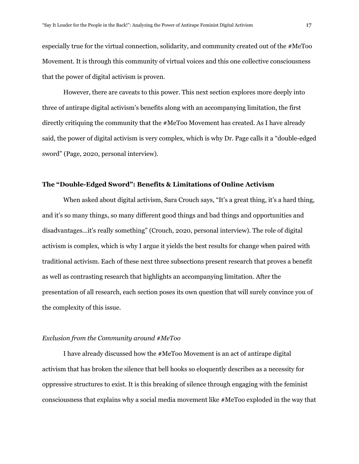especially true for the virtual connection, solidarity, and community created out of the #MeToo Movement. It is through this community of virtual voices and this one collective consciousness that the power of digital activism is proven.

However, there are caveats to this power. This next section explores more deeply into three of antirape digital activism's benefits along with an accompanying limitation, the first directly critiquing the community that the #MeToo Movement has created. As I have already said, the power of digital activism is very complex, which is why Dr. Page calls it a "double-edged sword" (Page, 2020, personal interview).

# **The "Double-Edged Sword": Benefits & Limitations of Online Activism**

When asked about digital activism, Sara Crouch says, "It's a great thing, it's a hard thing, and it's so many things, so many different good things and bad things and opportunities and disadvantages...it's really something" (Crouch, 2020, personal interview). The role of digital activism is complex, which is why I argue it yields the best results for change when paired with traditional activism. Each of these next three subsections present research that proves a benefit as well as contrasting research that highlights an accompanying limitation. After the presentation of all research, each section poses its own question that will surely convince you of the complexity of this issue.

# *Exclusion from the Community around #MeToo*

I have already discussed how the #MeToo Movement is an act of antirape digital activism that has broken the silence that bell hooks so eloquently describes as a necessity for oppressive structures to exist. It is this breaking of silence through engaging with the feminist consciousness that explains why a social media movement like #MeToo exploded in the way that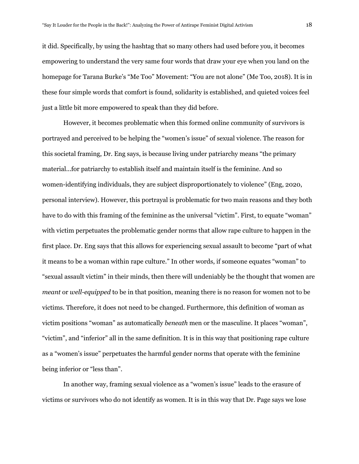it did. Specifically, by using the hashtag that so many others had used before you, it becomes empowering to understand the very same four words that draw your eye when you land on the homepage for Tarana Burke's "Me Too" Movement: "You are not alone" (Me Too, 2018). It is in these four simple words that comfort is found, solidarity is established, and quieted voices feel just a little bit more empowered to speak than they did before.

However, it becomes problematic when this formed online community of survivors is portrayed and perceived to be helping the "women's issue" of sexual violence. The reason for this societal framing, Dr. Eng says, is because living under patriarchy means "the primary material...for patriarchy to establish itself and maintain itself is the feminine. And so women-identifying individuals, they are subject disproportionately to violence" (Eng, 2020, personal interview). However, this portrayal is problematic for two main reasons and they both have to do with this framing of the feminine as the universal "victim". First, to equate "woman" with victim perpetuates the problematic gender norms that allow rape culture to happen in the first place. Dr. Eng says that this allows for experiencing sexual assault to become "part of what it means to be a woman within rape culture." In other words, if someone equates "woman" to "sexual assault victim" in their minds, then there will undeniably be the thought that women are *meant* or *well-equipped* to be in that position, meaning there is no reason for women not to be victims. Therefore, it does not need to be changed. Furthermore, this definition of woman as victim positions "woman" as automatically *beneath* men or the masculine. It places "woman", "victim", and "inferior" all in the same definition. It is in this way that positioning rape culture as a "women's issue" perpetuates the harmful gender norms that operate with the feminine being inferior or "less than".

In another way, framing sexual violence as a "women's issue" leads to the erasure of victims or survivors who do not identify as women. It is in this way that Dr. Page says we lose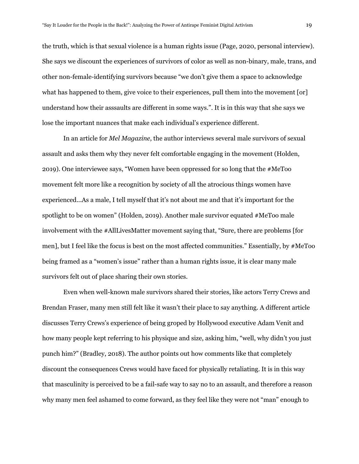the truth, which is that sexual violence is a human rights issue (Page, 2020, personal interview). She says we discount the experiences of survivors of color as well as non-binary, male, trans, and other non-female-identifying survivors because "we don't give them a space to acknowledge what has happened to them, give voice to their experiences, pull them into the movement [or] understand how their asssaults are different in some ways.". It is in this way that she says we lose the important nuances that make each individual's experience different.

In an article for *Mel Magazine*, the author interviews several male survivors of sexual assault and asks them why they never felt comfortable engaging in the movement (Holden, 2019). One interviewee says, "Women have been oppressed for so long that the #MeToo movement felt more like a recognition by society of all the atrocious things women have experienced...As a male, I tell myself that it's not about me and that it's important for the spotlight to be on women" (Holden, 2019). Another male survivor equated #MeToo male involvement with the #AllLivesMatter movement saying that, "Sure, there are problems [for men], but I feel like the focus is best on the most affected communities." Essentially, by #MeToo being framed as a "women's issue" rather than a human rights issue, it is clear many male survivors felt out of place sharing their own stories.

Even when well-known male survivors shared their stories, like actors Terry Crews and Brendan Fraser, many men still felt like it wasn't their place to say anything. A different article discusses Terry Crews's experience of being groped by Hollywood executive Adam Venit and how many people kept referring to his physique and size, asking him, "well, why didn't you just punch him?" (Bradley, 2018). The author points out how comments like that completely discount the consequences Crews would have faced for physically retaliating. It is in this way that masculinity is perceived to be a fail-safe way to say no to an assault, and therefore a reason why many men feel ashamed to come forward, as they feel like they were not "man" enough to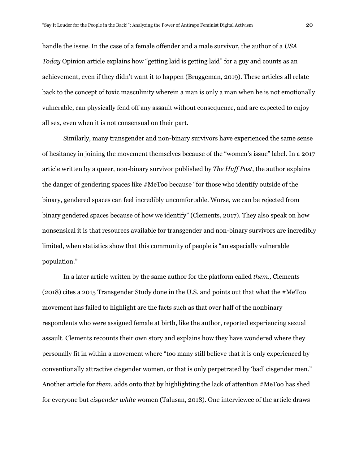handle the issue. In the case of a female offender and a male survivor, the author of a *USA Today* Opinion article explains how "getting laid is getting laid" for a guy and counts as an achievement, even if they didn't want it to happen (Bruggeman, 2019). These articles all relate back to the concept of toxic masculinity wherein a man is only a man when he is not emotionally vulnerable, can physically fend off any assault without consequence, and are expected to enjoy all sex, even when it is not consensual on their part.

Similarly, many transgender and non-binary survivors have experienced the same sense of hesitancy in joining the movement themselves because of the "women's issue" label. In a 2017 article written by a queer, non-binary survivor published by *The Huf Post*, the author explains the danger of gendering spaces like #MeToo because "for those who identify outside of the binary, gendered spaces can feel incredibly uncomfortable. Worse, we can be rejected from binary gendered spaces because of how we identify" (Clements, 2017). They also speak on how nonsensical it is that resources available for transgender and non-binary survivors are incredibly limited, when statistics show that this community of people is "an especially vulnerable population."

In a later article written by the same author for the platform called *them.,* Clements (2018) cites a 2015 Transgender Study done in the U.S. and points out that what the #MeToo movement has failed to highlight are the facts such as that over half of the nonbinary respondents who were assigned female at birth, like the author, reported experiencing sexual assault. Clements recounts their own story and explains how they have wondered where they personally fit in within a movement where "too many still believe that it is only experienced by conventionally attractive cisgender women, or that is only perpetrated by 'bad' cisgender men." Another article for *them.* adds onto that by highlighting the lack of attention #MeToo has shed for everyone but *cisgender white* women (Talusan, 2018). One interviewee of the article draws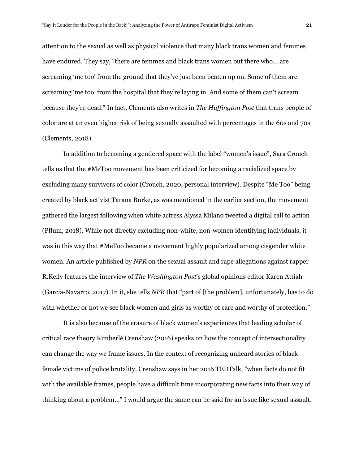attention to the sexual as well as physical violence that many black trans women and femmes have endured. They say, "there are femmes and black trans women out there who….are screaming 'me too' from the ground that they've just been beaten up on. Some of them are screaming 'me too' from the hospital that they're laying in. And some of them can't scream because they're dead." In fact, Clements also writes in *The Huf ington Post* that trans people of color are at an even higher risk of being sexually assaulted with percentages in the 60s and 70s (Clements, 2018).

In addition to becoming a gendered space with the label "women's issue", Sara Crouch tells us that the #MeToo movement has been criticized for becoming a racialized space by excluding many survivors of color (Crouch, 2020, personal interview). Despite "Me Too" being created by black activist Tarana Burke, as was mentioned in the earlier section, the movement gathered the largest following when white actress Alyssa Milano tweeted a digital call to action (Pflum, 2018). While not directly excluding non-white, non-women identifying individuals, it was in this way that #MeToo became a movement highly popularized among cisgender white women. An article published by *NPR* on the sexual assault and rape allegations against rapper R.Kelly features the interview of *The Washington Post*'s global opinions editor Karen Attiah (Garcia-Navarro, 2017). In it, she tells *NPR* that "part of [the problem], unfortunately, has to do with whether or not we see black women and girls as worthy of care and worthy of protection."

It is also because of the erasure of black women's experiences that leading scholar of critical race theory Kimberlé Crenshaw (2016) speaks on how the concept of intersectionality can change the way we frame issues. In the context of recognizing unheard stories of black female victims of police brutality, Crenshaw says in her 2016 TEDTalk, "when facts do not fit with the available frames, people have a difficult time incorporating new facts into their way of thinking about a problem…" I would argue the same can be said for an issue like sexual assault.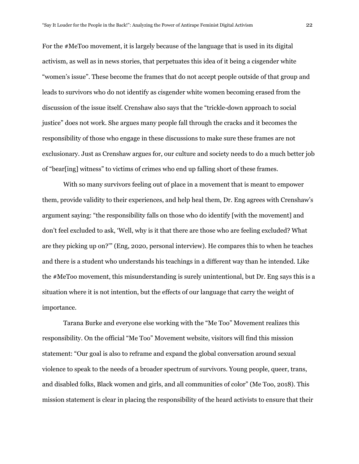For the #MeToo movement, it is largely because of the language that is used in its digital activism, as well as in news stories, that perpetuates this idea of it being a cisgender white "women's issue". These become the frames that do not accept people outside of that group and leads to survivors who do not identify as cisgender white women becoming erased from the discussion of the issue itself. Crenshaw also says that the "trickle-down approach to social justice" does not work. She argues many people fall through the cracks and it becomes the responsibility of those who engage in these discussions to make sure these frames are not exclusionary. Just as Crenshaw argues for, our culture and society needs to do a much better job of "bear[ing] witness" to victims of crimes who end up falling short of these frames.

With so many survivors feeling out of place in a movement that is meant to empower them, provide validity to their experiences, and help heal them, Dr. Eng agrees with Crenshaw's argument saying: "the responsibility falls on those who do identify [with the movement] and don't feel excluded to ask, 'Well, why is it that there are those who are feeling excluded? What are they picking up on?'" (Eng, 2020, personal interview). He compares this to when he teaches and there is a student who understands his teachings in a different way than he intended. Like the #MeToo movement, this misunderstanding is surely unintentional, but Dr. Eng says this is a situation where it is not intention, but the effects of our language that carry the weight of importance.

Tarana Burke and everyone else working with the "Me Too" Movement realizes this responsibility. On the official "Me Too" Movement website, visitors will find this mission statement: "Our goal is also to reframe and expand the global conversation around sexual violence to speak to the needs of a broader spectrum of survivors. Young people, queer, trans, and disabled folks, Black women and girls, and all communities of color" (Me Too, 2018). This mission statement is clear in placing the responsibility of the heard activists to ensure that their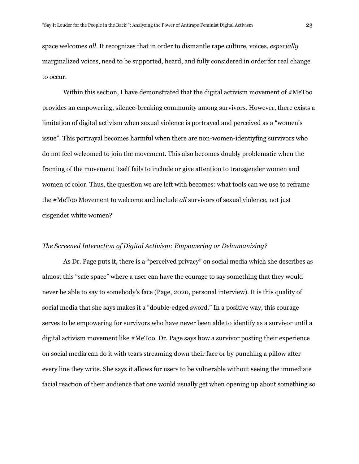space welcomes *all*. It recognizes that in order to dismantle rape culture, voices, *especially* marginalized voices, need to be supported, heard, and fully considered in order for real change to occur.

Within this section, I have demonstrated that the digital activism movement of #MeToo provides an empowering, silence-breaking community among survivors. However, there exists a limitation of digital activism when sexual violence is portrayed and perceived as a "women's issue". This portrayal becomes harmful when there are non-women-identiyfing survivors who do not feel welcomed to join the movement. This also becomes doubly problematic when the framing of the movement itself fails to include or give attention to transgender women and women of color. Thus, the question we are left with becomes: what tools can we use to reframe the #MeToo Movement to welcome and include *all* survivors of sexual violence, not just cisgender white women?

#### *The Screened Interaction of Digital Activism: Empowering or Dehumanizing?*

As Dr. Page puts it, there is a "perceived privacy" on social media which she describes as almost this "safe space" where a user can have the courage to say something that they would never be able to say to somebody's face (Page, 2020, personal interview). It is this quality of social media that she says makes it a "double-edged sword." In a positive way, this courage serves to be empowering for survivors who have never been able to identify as a survivor until a digital activism movement like #MeToo. Dr. Page says how a survivor posting their experience on social media can do it with tears streaming down their face or by punching a pillow after every line they write. She says it allows for users to be vulnerable without seeing the immediate facial reaction of their audience that one would usually get when opening up about something so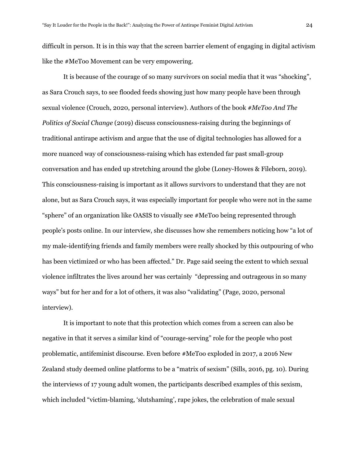difficult in person. It is in this way that the screen barrier element of engaging in digital activism like the #MeToo Movement can be very empowering.

It is because of the courage of so many survivors on social media that it was "shocking", as Sara Crouch says, to see flooded feeds showing just how many people have been through sexual violence (Crouch, 2020, personal interview). Authors of the book *#MeToo And The Politics of Social Change* (2019) discuss consciousness-raising during the beginnings of traditional antirape activism and argue that the use of digital technologies has allowed for a more nuanced way of consciousness-raising which has extended far past small-group conversation and has ended up stretching around the globe (Loney-Howes & Fileborn, 2019). This consciousness-raising is important as it allows survivors to understand that they are not alone, but as Sara Crouch says, it was especially important for people who were not in the same "sphere" of an organization like OASIS to visually see #MeToo being represented through people's posts online. In our interview, she discusses how she remembers noticing how "a lot of my male-identifying friends and family members were really shocked by this outpouring of who has been victimized or who has been affected." Dr. Page said seeing the extent to which sexual violence infiltrates the lives around her was certainly "depressing and outrageous in so many ways" but for her and for a lot of others, it was also "validating" (Page, 2020, personal interview).

It is important to note that this protection which comes from a screen can also be negative in that it serves a similar kind of "courage-serving" role for the people who post problematic, antifeminist discourse. Even before #MeToo exploded in 2017, a 2016 New Zealand study deemed online platforms to be a "matrix of sexism" (Sills, 2016, pg. 10). During the interviews of 17 young adult women, the participants described examples of this sexism, which included "victim-blaming, 'slutshaming', rape jokes, the celebration of male sexual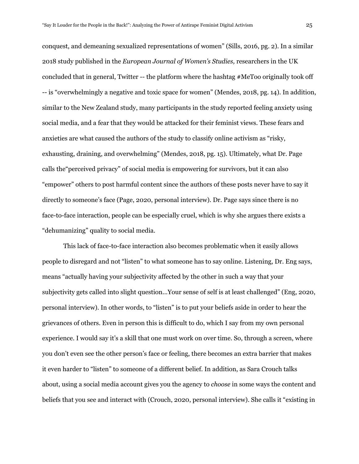conquest, and demeaning sexualized representations of women" (Sills, 2016, pg. 2). In a similar 2018 study published in the *European Journal of Women's Studies,* researchers in the UK concluded that in general, Twitter -- the platform where the hashtag #MeToo originally took off -- is "overwhelmingly a negative and toxic space for women" (Mendes, 2018, pg. 14). In addition, similar to the New Zealand study, many participants in the study reported feeling anxiety using social media, and a fear that they would be attacked for their feminist views. These fears and anxieties are what caused the authors of the study to classify online activism as "risky, exhausting, draining, and overwhelming" (Mendes, 2018, pg. 15). Ultimately, what Dr. Page calls the"perceived privacy" of social media is empowering for survivors, but it can also "empower" others to post harmful content since the authors of these posts never have to say it directly to someone's face (Page, 2020, personal interview). Dr. Page says since there is no face-to-face interaction, people can be especially cruel, which is why she argues there exists a "dehumanizing" quality to social media.

This lack of face-to-face interaction also becomes problematic when it easily allows people to disregard and not "listen" to what someone has to say online. Listening, Dr. Eng says, means "actually having your subjectivity affected by the other in such a way that your subjectivity gets called into slight question...Your sense of self is at least challenged" (Eng, 2020, personal interview). In other words, to "listen" is to put your beliefs aside in order to hear the grievances of others. Even in person this is difficult to do, which I say from my own personal experience. I would say it's a skill that one must work on over time. So, through a screen, where you don't even see the other person's face or feeling, there becomes an extra barrier that makes it even harder to "listen" to someone of a different belief. In addition, as Sara Crouch talks about, using a social media account gives you the agency to *choose* in some ways the content and beliefs that you see and interact with (Crouch, 2020, personal interview). She calls it "existing in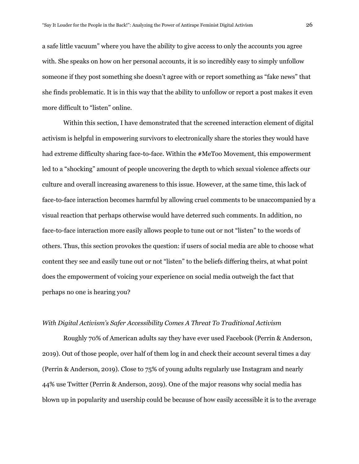a safe little vacuum" where you have the ability to give access to only the accounts you agree with. She speaks on how on her personal accounts, it is so incredibly easy to simply unfollow someone if they post something she doesn't agree with or report something as "fake news" that she finds problematic. It is in this way that the ability to unfollow or report a post makes it even more difficult to "listen" online.

Within this section, I have demonstrated that the screened interaction element of digital activism is helpful in empowering survivors to electronically share the stories they would have had extreme difficulty sharing face-to-face. Within the #MeToo Movement, this empowerment led to a "shocking" amount of people uncovering the depth to which sexual violence affects our culture and overall increasing awareness to this issue. However, at the same time, this lack of face-to-face interaction becomes harmful by allowing cruel comments to be unaccompanied by a visual reaction that perhaps otherwise would have deterred such comments. In addition, no face-to-face interaction more easily allows people to tune out or not "listen" to the words of others. Thus, this section provokes the question: if users of social media are able to choose what content they see and easily tune out or not "listen" to the beliefs differing theirs, at what point does the empowerment of voicing your experience on social media outweigh the fact that perhaps no one is hearing you?

### *With Digital Activism's Safer Accessibility Comes A Threat To Traditional Activism*

Roughly 70% of American adults say they have ever used Facebook (Perrin & Anderson, 2019). Out of those people, over half of them log in and check their account several times a day (Perrin & Anderson, 2019). Close to 75% of young adults regularly use Instagram and nearly 44% use Twitter (Perrin & Anderson, 2019). One of the major reasons why social media has blown up in popularity and usership could be because of how easily accessible it is to the average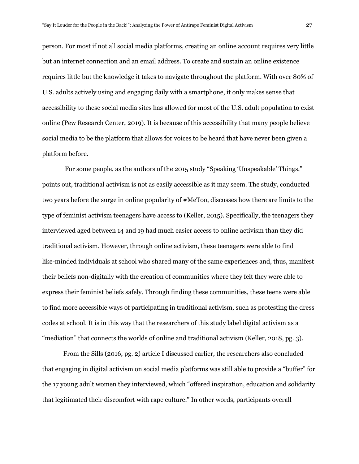person. For most if not all social media platforms, creating an online account requires very little but an internet connection and an email address. To create and sustain an online existence requires little but the knowledge it takes to navigate throughout the platform. With over 80% of U.S. adults actively using and engaging daily with a smartphone, it only makes sense that accessibility to these social media sites has allowed for most of the U.S. adult population to exist online (Pew Research Center, 2019). It is because of this accessibility that many people believe social media to be the platform that allows for voices to be heard that have never been given a platform before.

For some people, as the authors of the 2015 study "Speaking 'Unspeakable' Things," points out, traditional activism is not as easily accessible as it may seem. The study, conducted two years before the surge in online popularity of #MeToo, discusses how there are limits to the type of feminist activism teenagers have access to (Keller, 2015). Specifically, the teenagers they interviewed aged between 14 and 19 had much easier access to online activism than they did traditional activism. However, through online activism, these teenagers were able to find like-minded individuals at school who shared many of the same experiences and, thus, manifest their beliefs non-digitally with the creation of communities where they felt they were able to express their feminist beliefs safely. Through finding these communities, these teens were able to find more accessible ways of participating in traditional activism, such as protesting the dress codes at school. It is in this way that the researchers of this study label digital activism as a "mediation" that connects the worlds of online and traditional activism (Keller, 2018, pg. 3).

From the Sills (2016, pg. 2) article I discussed earlier, the researchers also concluded that engaging in digital activism on social media platforms was still able to provide a "buffer" for the 17 young adult women they interviewed, which "offered inspiration, education and solidarity that legitimated their discomfort with rape culture." In other words, participants overall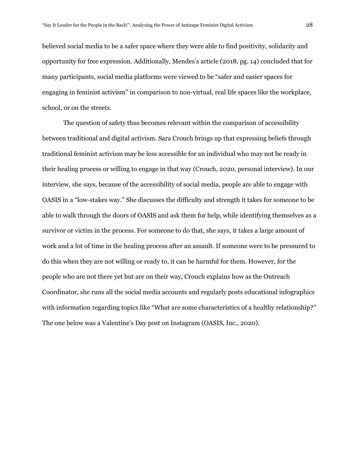believed social media to be a safer space where they were able to find positivity, solidarity and opportunity for free expression. Additionally, Mendes's article (2018, pg. 14) concluded that for many participants, social media platforms were viewed to be "safer and easier spaces for engaging in feminist activism" in comparison to non-virtual, real life spaces like the workplace, school, or on the streets.

The question of safety thus becomes relevant within the comparison of accessibility between traditional and digital activism. Sara Crouch brings up that expressing beliefs through traditional feminist activism may be less accessible for an individual who may not be ready in their healing process or willing to engage in that way (Crouch, 2020, personal interview). In our interview, she says, because of the accessibility of social media, people are able to engage with OASIS in a "low-stakes way." She discusses the difficulty and strength it takes for someone to be able to walk through the doors of OASIS and ask them for help, while identifying themselves as a survivor or victim in the process. For someone to do that, she says, it takes a large amount of work and a lot of time in the healing process after an assault. If someone were to be pressured to do this when they are not willing or ready to, it can be harmful for them. However, for the people who are not there yet but are on their way, Crouch explains how as the Outreach Coordinator, she runs all the social media accounts and regularly posts educational infographics with information regarding topics like "What are some characteristics of a healthy relationship?" The one below was a Valentine's Day post on Instagram (OASIS, Inc., 2020).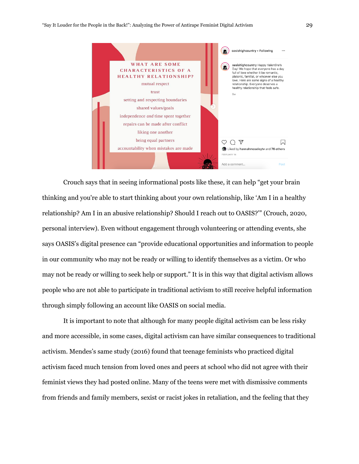

Crouch says that in seeing informational posts like these, it can help "get your brain thinking and you're able to start thinking about your own relationship, like 'Am I in a healthy relationship? Am I in an abusive relationship? Should I reach out to OASIS?'" (Crouch, 2020, personal interview). Even without engagement through volunteering or attending events, she says OASIS's digital presence can "provide educational opportunities and information to people in our community who may not be ready or willing to identify themselves as a victim. Or who may not be ready or willing to seek help or support." It is in this way that digital activism allows people who are not able to participate in traditional activism to still receive helpful information through simply following an account like OASIS on social media.

It is important to note that although for many people digital activism can be less risky and more accessible, in some cases, digital activism can have similar consequences to traditional activism. Mendes's same study (2016) found that teenage feminists who practiced digital activism faced much tension from loved ones and peers at school who did not agree with their feminist views they had posted online. Many of the teens were met with dismissive comments from friends and family members, sexist or racist jokes in retaliation, and the feeling that they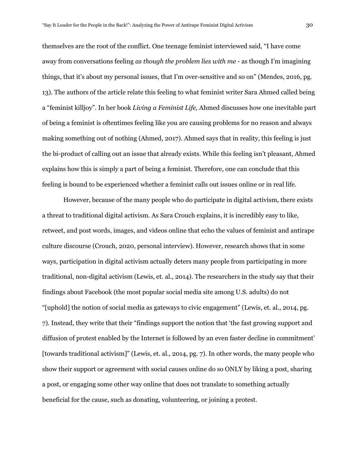themselves are the root of the conflict. One teenage feminist interviewed said, "I have come away from conversations feeling *as though the problem lies with me -* as though I'm imagining things, that it's about my personal issues, that I'm over-sensitive and so on" (Mendes, 2016, pg. 13). The authors of the article relate this feeling to what feminist writer Sara Ahmed called being a "feminist killjoy". In her book *Living a Feminist Life,* Ahmed discusses how one inevitable part of being a feminist is oftentimes feeling like you are causing problems for no reason and always making something out of nothing (Ahmed, 2017). Ahmed says that in reality, this feeling is just the bi-product of calling out an issue that already exists. While this feeling isn't pleasant, Ahmed explains how this is simply a part of being a feminist. Therefore, one can conclude that this feeling is bound to be experienced whether a feminist calls out issues online or in real life.

However, because of the many people who do participate in digital activism, there exists a threat to traditional digital activism. As Sara Crouch explains, it is incredibly easy to like, retweet, and post words, images, and videos online that echo the values of feminist and antirape culture discourse (Crouch, 2020, personal interview). However, research shows that in some ways, participation in digital activism actually deters many people from participating in more traditional, non-digital activism (Lewis, et. al., 2014). The researchers in the study say that their findings about Facebook (the most popular social media site among U.S. adults) do not "[uphold] the notion of social media as gateways to civic engagement" (Lewis, et. al., 2014, pg. 7). Instead, they write that their "findings support the notion that 'the fast growing support and diffusion of protest enabled by the Internet is followed by an even faster decline in commitment' [towards traditional activism]" (Lewis, et. al., 2014, pg. 7). In other words, the many people who show their support or agreement with social causes online do so ONLY by liking a post, sharing a post, or engaging some other way online that does not translate to something actually beneficial for the cause, such as donating, volunteering, or joining a protest.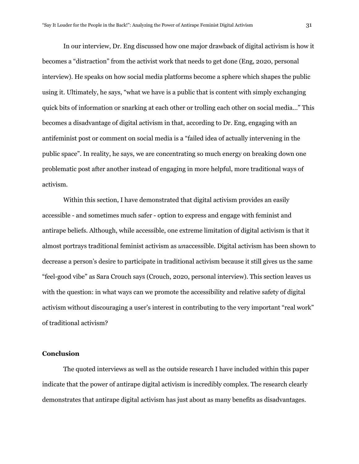In our interview, Dr. Eng discussed how one major drawback of digital activism is how it becomes a "distraction" from the activist work that needs to get done (Eng, 2020, personal interview). He speaks on how social media platforms become a sphere which shapes the public using it. Ultimately, he says, "what we have is a public that is content with simply exchanging quick bits of information or snarking at each other or trolling each other on social media…" This becomes a disadvantage of digital activism in that, according to Dr. Eng, engaging with an antifeminist post or comment on social media is a "failed idea of actually intervening in the public space". In reality, he says, we are concentrating so much energy on breaking down one problematic post after another instead of engaging in more helpful, more traditional ways of activism.

Within this section, I have demonstrated that digital activism provides an easily accessible - and sometimes much safer - option to express and engage with feminist and antirape beliefs. Although, while accessible, one extreme limitation of digital activism is that it almost portrays traditional feminist activism as *un*accessible. Digital activism has been shown to decrease a person's desire to participate in traditional activism because it still gives us the same "feel-good vibe" as Sara Crouch says (Crouch, 2020, personal interview). This section leaves us with the question: in what ways can we promote the accessibility and relative safety of digital activism without discouraging a user's interest in contributing to the very important "real work" of traditional activism?

### **Conclusion**

The quoted interviews as well as the outside research I have included within this paper indicate that the power of antirape digital activism is incredibly complex. The research clearly demonstrates that antirape digital activism has just about as many benefits as disadvantages.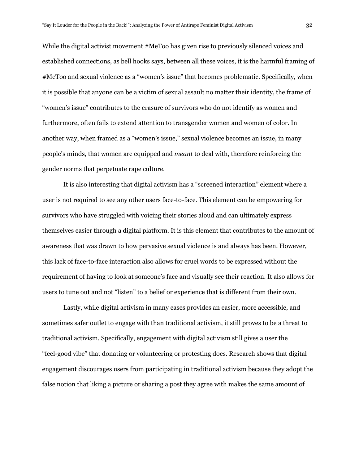While the digital activist movement #MeToo has given rise to previously silenced voices and established connections, as bell hooks says, between all these voices, it is the harmful framing of #MeToo and sexual violence as a "women's issue" that becomes problematic. Specifically, when it is possible that anyone can be a victim of sexual assault no matter their identity, the frame of "women's issue" contributes to the erasure of survivors who do not identify as women and furthermore, often fails to extend attention to transgender women and women of color. In another way, when framed as a "women's issue," sexual violence becomes an issue, in many people's minds, that women are equipped and *meant* to deal with, therefore reinforcing the gender norms that perpetuate rape culture.

It is also interesting that digital activism has a "screened interaction" element where a user is not required to see any other users face-to-face. This element can be empowering for survivors who have struggled with voicing their stories aloud and can ultimately express themselves easier through a digital platform. It is this element that contributes to the amount of awareness that was drawn to how pervasive sexual violence is and always has been. However, this lack of face-to-face interaction also allows for cruel words to be expressed without the requirement of having to look at someone's face and visually see their reaction. It also allows for users to tune out and not "listen" to a belief or experience that is different from their own.

Lastly, while digital activism in many cases provides an easier, more accessible, and sometimes safer outlet to engage with than traditional activism, it still proves to be a threat to traditional activism. Specifically, engagement with digital activism still gives a user the "feel-good vibe" that donating or volunteering or protesting does. Research shows that digital engagement discourages users from participating in traditional activism because they adopt the false notion that liking a picture or sharing a post they agree with makes the same amount of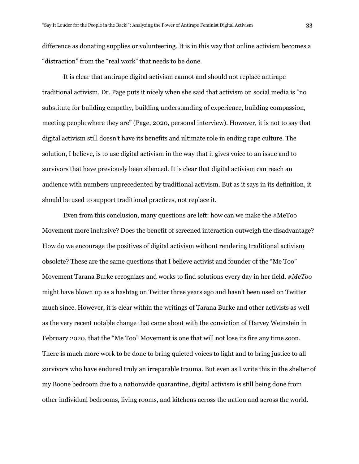difference as donating supplies or volunteering. It is in this way that online activism becomes a "distraction" from the "real work" that needs to be done.

It is clear that antirape digital activism cannot and should not replace antirape traditional activism. Dr. Page puts it nicely when she said that activism on social media is "no substitute for building empathy, building understanding of experience, building compassion, meeting people where they are" (Page, 2020, personal interview). However, it is not to say that digital activism still doesn't have its benefits and ultimate role in ending rape culture. The solution, I believe, is to use digital activism in the way that it gives voice to an issue and to survivors that have previously been silenced. It is clear that digital activism can reach an audience with numbers unprecedented by traditional activism. But as it says in its definition, it should be used to support traditional practices, not replace it.

Even from this conclusion, many questions are left: how can we make the #MeToo Movement more inclusive? Does the benefit of screened interaction outweigh the disadvantage? How do we encourage the positives of digital activism without rendering traditional activism obsolete? These are the same questions that I believe activist and founder of the "Me Too" Movement Tarana Burke recognizes and works to find solutions every day in her field. *#MeToo*  might have blown up as a hashtag on Twitter three years ago and hasn't been used on Twitter much since. However, it is clear within the writings of Tarana Burke and other activists as well as the very recent notable change that came about with the conviction of Harvey Weinstein in February 2020, that the "Me Too" Movement is one that will not lose its fire any time soon. There is much more work to be done to bring quieted voices to light and to bring justice to all survivors who have endured truly an irreparable trauma. But even as I write this in the shelter of my Boone bedroom due to a nationwide quarantine, digital activism is still being done from other individual bedrooms, living rooms, and kitchens across the nation and across the world.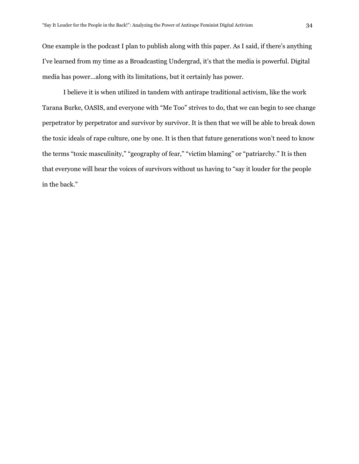One example is the podcast I plan to publish along with this paper. As I said, if there's anything I've learned from my time as a Broadcasting Undergrad, it's that the media is powerful. Digital media has power...along with its limitations, but it certainly has power.

I believe it is when utilized in tandem with antirape traditional activism, like the work Tarana Burke, OASIS, and everyone with "Me Too" strives to do, that we can begin to see change perpetrator by perpetrator and survivor by survivor. It is then that we will be able to break down the toxic ideals of rape culture, one by one. It is then that future generations won't need to know the terms "toxic masculinity," "geography of fear," "victim blaming" or "patriarchy." It is then that everyone will hear the voices of survivors without us having to "say it louder for the people in the back."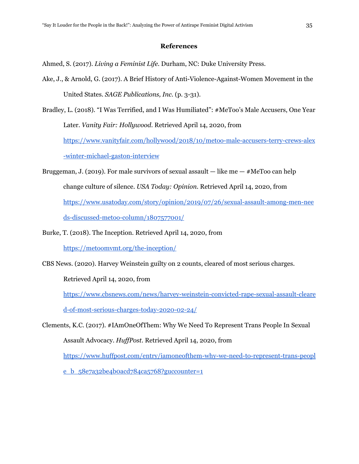# **References**

Ahmed, S. (2017). *Living a Feminist Life.* Durham, NC: Duke University Press.

Ake, J., & Arnold, G. (2017). A Brief History of Anti-Violence-Against-Women Movement in the United States. *SAGE Publications, Inc.* (p. 3-31).

Bradley, L. (2018). "I Was Terrified, and I Was Humiliated": #MeToo's Male Accusers, One Year Later. *Vanity Fair: Hollywood.* Retrieved April 14, 2020, from

[https://www.vanityfair.com/hollywood/2018/10/metoo-male-accusers-terry-crews-alex](https://www.vanityfair.com/hollywood/2018/10/metoo-male-accusers-terry-crews-alex-winter-michael-gaston-interview)

[-winter-michael-gaston-interview](https://www.vanityfair.com/hollywood/2018/10/metoo-male-accusers-terry-crews-alex-winter-michael-gaston-interview)

- Bruggeman, J. (2019). For male survivors of sexual assault  $-$  like me  $-$  #MeToo can help change culture of silence. *USA Today: Opinion.* Retrieved April 14, 2020, from [https://www.usatoday.com/story/opinion/2019/07/26/sexual-assault-among-men-nee](https://www.usatoday.com/story/opinion/2019/07/26/sexual-assault-among-men-needs-discussed-metoo-column/1807577001/) [ds-discussed-metoo-column/1807577001/](https://www.usatoday.com/story/opinion/2019/07/26/sexual-assault-among-men-needs-discussed-metoo-column/1807577001/)
- Burke, T. (2018). The Inception. Retrieved April 14, 2020, from <https://metoomvmt.org/the-inception/>

CBS News. (2020). Harvey Weinstein guilty on 2 counts, cleared of most serious charges.

Retrieved April 14, 2020, from

[https://www.cbsnews.com/news/harvey-weinstein-convicted-rape-sexual-assault-cleare](https://www.cbsnews.com/news/harvey-weinstein-convicted-rape-sexual-assault-cleared-of-most-serious-charges-today-2020-02-24/) [d-of-most-serious-charges-today-2020-02-24/](https://www.cbsnews.com/news/harvey-weinstein-convicted-rape-sexual-assault-cleared-of-most-serious-charges-today-2020-02-24/)

Clements, K.C. (2017). #IAmOneOfThem: Why We Need To Represent Trans People In Sexual Assault Advocacy. *HuffPost*. Retrieved April 14, 2020, from [https://www.huffpost.com/entry/iamoneofthem-why-we-need-to-represent-trans-peopl](https://www.huffpost.com/entry/iamoneofthem-why-we-need-to-represent-trans-people_b_58e7a32be4b0acd784ca5768?guccounter=1) e b  $58e7a32be4b0acd784ca5768?guccounter=1$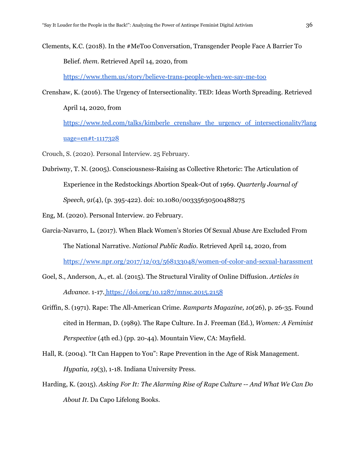Clements, K.C. (2018). In the #MeToo Conversation, Transgender People Face A Barrier To Belief. *them.* Retrieved April 14, 2020, from

<https://www.them.us/story/believe-trans-people-when-we-say-me-too>

Crenshaw, K. (2016). The Urgency of Intersectionality. TED: Ideas Worth Spreading. Retrieved April 14, 2020, from [https://www.ted.com/talks/kimberle\\_crenshaw\\_the\\_urgency\\_of\\_intersectionality?lang](https://www.ted.com/talks/kimberle_crenshaw_the_urgency_of_intersectionality?language=en#t-1117328)

[uage=en#t-1117328](https://www.ted.com/talks/kimberle_crenshaw_the_urgency_of_intersectionality?language=en#t-1117328)

- Crouch, S. (2020). Personal Interview. 25 February.
- Dubriwny, T. N. (2005). Consciousness-Raising as Collective Rhetoric: The Articulation of Experience in the Redstockings Abortion Speak-Out of 1969. *Quarterly Journal of Speech*, *91*(4), (p. 395-422). doi: 10.1080/00335630500488275

Eng, M. (2020). Personal Interview. 20 February.

- Garcia-Navarro, L. (2017). When Black Women's Stories Of Sexual Abuse Are Excluded From The National Narrative. *National Public Radio.* Retrieved April 14, 2020, from <https://www.npr.org/2017/12/03/568133048/women-of-color-and-sexual-harassment>
- Goel, S., Anderson, A., et. al. (2015). The Structural Virality of Online Diffusion. *Articles in Advance.* 1-17. <https://doi.org/10.1287/mnsc.2015.2158>
- Griffin, S. (1971). Rape: The All-American Crime. *Ramparts Magazine, 10*(26), p. 26-35. Found cited in Herman, D. (1989). The Rape Culture. In J. Freeman (Ed.), *Women: A Feminist Perspective* (4th ed.) (pp. 20-44). Mountain View, CA: Mayfield.
- Hall, R. (2004). "It Can Happen to You": Rape Prevention in the Age of Risk Management. *Hypatia, 19*(3), 1-18. Indiana University Press.
- Harding, K. (2015). *Asking For It: The Alarming Rise of Rape Culture -- And What We Can Do About It.* Da Capo Lifelong Books.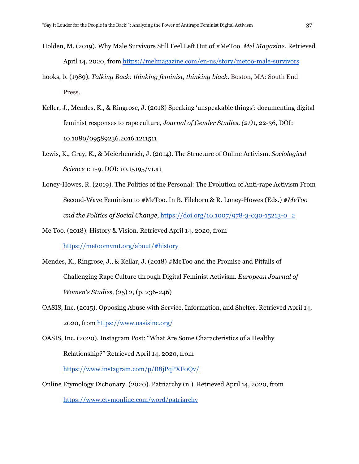- Holden, M. (2019). Why Male Survivors Still Feel Left Out of #MeToo. *Mel Magazine.* Retrieved April 14, 2020, from <https://melmagazine.com/en-us/story/metoo-male-survivors>
- hooks, b. (1989). *Talking Back: thinking feminist, thinking black.* Boston, MA: South End Press.
- Keller, J., Mendes, K., & Ringrose, J. (2018) Speaking 'unspeakable things': documenting digital feminist responses to rape culture, *Journal of Gender Studies, (21)*1, 22-36, DOI: [10.1080/09589236.2016.1211511](https://doi.org/10.1080/09589236.2016.1211511)
- Lewis, K., Gray, K., & Meierhenrich, J. (2014). The Structure of Online Activism. *Sociological Science* 1: 1-9. DOI: 10.15195/v1.a1
- Loney-Howes, R. (2019). The Politics of the Personal: The Evolution of Anti-rape Activism From Second-Wave Feminism to #MeToo. In B. Fileborn & R. Loney-Howes (Eds.) *#MeToo and the Politics of Social Change*, [https://doi.org/10.1007/978-3-030-15213-0\\_2](https://doi.org/10.1007/978-3-030-15213-0_2)
- Me Too. (2018). History & Vision. Retrieved April 14, 2020, from <https://metoomvmt.org/about/#history>
- Mendes, K., Ringrose, J., & Kellar, J. (2018) #MeToo and the Promise and Pitfalls of Challenging Rape Culture through Digital Feminist Activism. *European Journal of Women's Studies,* (25) 2, (p. 236-246)
- OASIS, Inc. (2015). Opposing Abuse with Service, Information, and Shelter. Retrieved April 14, 2020, from <https://www.oasisinc.org/>
- OASIS, Inc. (2020). Instagram Post: "What Are Some Characteristics of a Healthy Relationship?" Retrieved April 14, 2020, from <https://www.instagram.com/p/B8jPqPXF0Qv/>
- Online Etymology Dictionary. (2020). Patriarchy (n.). Retrieved April 14, 2020, from <https://www.etymonline.com/word/patriarchy>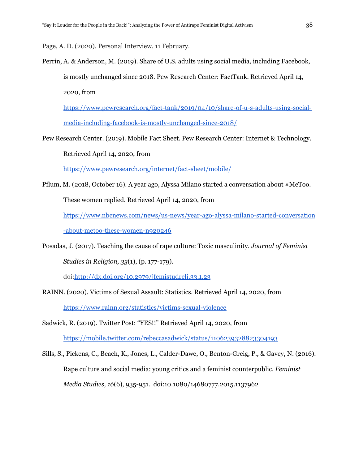Page, A. D. (2020). Personal Interview. 11 February.

Perrin, A. & Anderson, M. (2019). Share of U.S. adults using social media, including Facebook, is mostly unchanged since 2018. Pew Research Center: FactTank. Retrieved April 14, 2020, from

[https://www.pewresearch.org/fact-tank/2019/04/10/share-of-u-s-adults-using-social](https://www.pewresearch.org/fact-tank/2019/04/10/share-of-u-s-adults-using-social-media-including-facebook-is-mostly-unchanged-since-2018/)[media-including-facebook-is-mostly-unchanged-since-2018/](https://www.pewresearch.org/fact-tank/2019/04/10/share-of-u-s-adults-using-social-media-including-facebook-is-mostly-unchanged-since-2018/)

Pew Research Center. (2019). Mobile Fact Sheet. Pew Research Center: Internet & Technology. Retrieved April 14, 2020, from

<https://www.pewresearch.org/internet/fact-sheet/mobile/>

Pflum, M. (2018, October 16). A year ago, Alyssa Milano started a conversation about #MeToo. These women replied. Retrieved April 14, 2020, from

[https://www.nbcnews.com/news/us-news/year-ago-alyssa-milano-started-conversation](https://www.nbcnews.com/news/us-news/year-ago-alyssa-milano-started-conversation-about-metoo-these-women-n920246)

[-about-metoo-these-women-n920246](https://www.nbcnews.com/news/us-news/year-ago-alyssa-milano-started-conversation-about-metoo-these-women-n920246)

Posadas, J. (2017). Teaching the cause of rape culture: Toxic masculinity. *Journal of Feminist Studies in Religion, 33*(1), (p. 177-179).

doi:<http://dx.doi.org/10.2979/jfemistudreli.33.1.23>

RAINN. (2020). Victims of Sexual Assault: Statistics. Retrieved April 14, 2020, from <https://www.rainn.org/statistics/victims-sexual-violence>

Sadwick, R. (2019). Twitter Post: "YES!!" Retrieved April 14, 2020, from <https://mobile.twitter.com/rebeccasadwick/status/1106239328823304193>

Sills, S., Pickens, C., Beach, K., Jones, L., Calder-Dawe, O., Benton-Greig, P., & Gavey, N. (2016). Rape culture and social media: young critics and a feminist counterpublic. *Feminist Media Studies, 16*(6), 935-951. doi:10.1080/14680777.2015.1137962